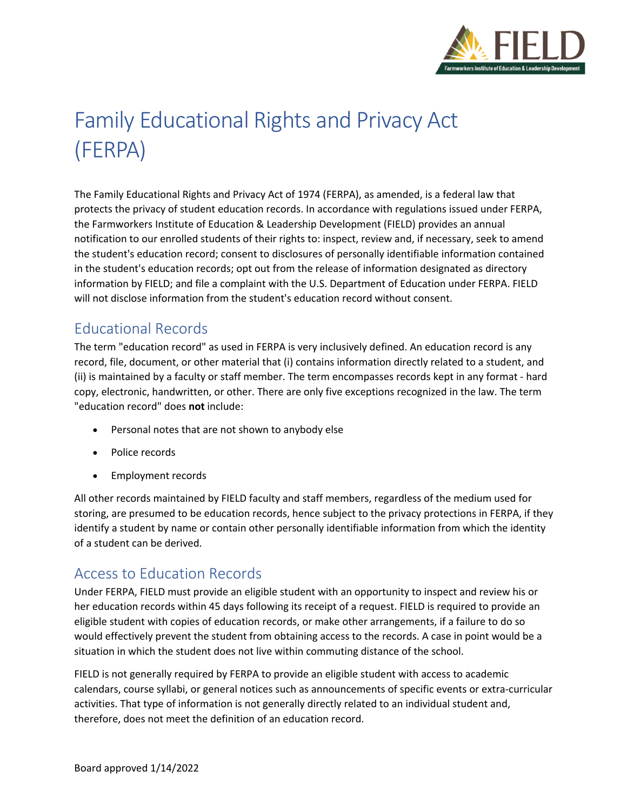

# Family Educational Rights and Privacy Act (FERPA)

The Family Educational Rights and Privacy Act of 1974 (FERPA), as amended, is a federal law that protects the privacy of student education records. In accordance with regulations issued under FERPA, the Farmworkers Institute of Education & Leadership Development (FIELD) provides an annual notification to our enrolled students of their rights to: inspect, review and, if necessary, seek to amend the student's education record; consent to disclosures of personally identifiable information contained in the student's education records; opt out from the release of information designated as directory information by FIELD; and file a complaint with the U.S. Department of Education under FERPA. FIELD will not disclose information from the student's education record without consent.

#### Educational Records

The term "education record" as used in FERPA is very inclusively defined. An education record is any record, file, document, or other material that (i) contains information directly related to a student, and (ii) is maintained by a faculty or staff member. The term encompasses records kept in any format - hard copy, electronic, handwritten, or other. There are only five exceptions recognized in the law. The term "education record" does **not** include:

- Personal notes that are not shown to anybody else
- Police records
- Employment records

All other records maintained by FIELD faculty and staff members, regardless of the medium used for storing, are presumed to be education records, hence subject to the privacy protections in FERPA, if they identify a student by name or contain other personally identifiable information from which the identity of a student can be derived.

#### Access to Education Records

Under FERPA, FIELD must provide an eligible student with an opportunity to inspect and review his or her education records within 45 days following its receipt of a request. FIELD is required to provide an eligible student with copies of education records, or make other arrangements, if a failure to do so would effectively prevent the student from obtaining access to the records. A case in point would be a situation in which the student does not live within commuting distance of the school.

FIELD is not generally required by FERPA to provide an eligible student with access to academic calendars, course syllabi, or general notices such as announcements of specific events or extra-curricular activities. That type of information is not generally directly related to an individual student and, therefore, does not meet the definition of an education record.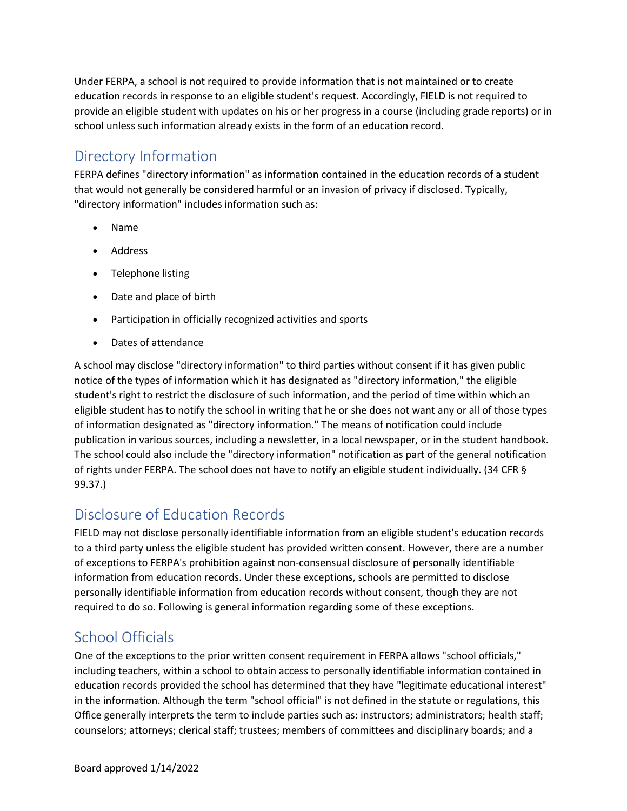Under FERPA, a school is not required to provide information that is not maintained or to create education records in response to an eligible student's request. Accordingly, FIELD is not required to provide an eligible student with updates on his or her progress in a course (including grade reports) or in school unless such information already exists in the form of an education record.

#### Directory Information

FERPA defines "directory information" as information contained in the education records of a student that would not generally be considered harmful or an invasion of privacy if disclosed. Typically, "directory information" includes information such as:

- Name
- Address
- Telephone listing
- Date and place of birth
- Participation in officially recognized activities and sports
- Dates of attendance

A school may disclose "directory information" to third parties without consent if it has given public notice of the types of information which it has designated as "directory information," the eligible student's right to restrict the disclosure of such information, and the period of time within which an eligible student has to notify the school in writing that he or she does not want any or all of those types of information designated as "directory information." The means of notification could include publication in various sources, including a newsletter, in a local newspaper, or in the student handbook. The school could also include the "directory information" notification as part of the general notification of rights under FERPA. The school does not have to notify an eligible student individually. (34 CFR § 99.37.)

#### Disclosure of Education Records

FIELD may not disclose personally identifiable information from an eligible student's education records to a third party unless the eligible student has provided written consent. However, there are a number of exceptions to FERPA's prohibition against non-consensual disclosure of personally identifiable information from education records. Under these exceptions, schools are permitted to disclose personally identifiable information from education records without consent, though they are not required to do so. Following is general information regarding some of these exceptions.

## School Officials

One of the exceptions to the prior written consent requirement in FERPA allows "school officials," including teachers, within a school to obtain access to personally identifiable information contained in education records provided the school has determined that they have "legitimate educational interest" in the information. Although the term "school official" is not defined in the statute or regulations, this Office generally interprets the term to include parties such as: instructors; administrators; health staff; counselors; attorneys; clerical staff; trustees; members of committees and disciplinary boards; and a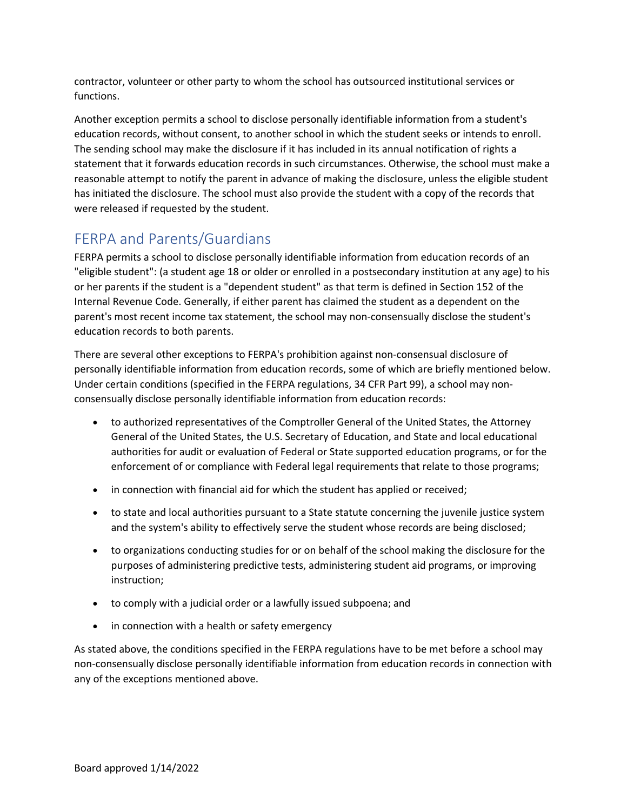contractor, volunteer or other party to whom the school has outsourced institutional services or functions.

Another exception permits a school to disclose personally identifiable information from a student's education records, without consent, to another school in which the student seeks or intends to enroll. The sending school may make the disclosure if it has included in its annual notification of rights a statement that it forwards education records in such circumstances. Otherwise, the school must make a reasonable attempt to notify the parent in advance of making the disclosure, unless the eligible student has initiated the disclosure. The school must also provide the student with a copy of the records that were released if requested by the student.

#### FERPA and Parents/Guardians

FERPA permits a school to disclose personally identifiable information from education records of an "eligible student": (a student age 18 or older or enrolled in a postsecondary institution at any age) to his or her parents if the student is a "dependent student" as that term is defined in Section 152 of the Internal Revenue Code. Generally, if either parent has claimed the student as a dependent on the parent's most recent income tax statement, the school may non-consensually disclose the student's education records to both parents.

There are several other exceptions to FERPA's prohibition against non-consensual disclosure of personally identifiable information from education records, some of which are briefly mentioned below. Under certain conditions (specified in the FERPA regulations, 34 CFR Part 99), a school may nonconsensually disclose personally identifiable information from education records:

- to authorized representatives of the Comptroller General of the United States, the Attorney General of the United States, the U.S. Secretary of Education, and State and local educational authorities for audit or evaluation of Federal or State supported education programs, or for the enforcement of or compliance with Federal legal requirements that relate to those programs;
- in connection with financial aid for which the student has applied or received;
- to state and local authorities pursuant to a State statute concerning the juvenile justice system and the system's ability to effectively serve the student whose records are being disclosed;
- to organizations conducting studies for or on behalf of the school making the disclosure for the purposes of administering predictive tests, administering student aid programs, or improving instruction;
- to comply with a judicial order or a lawfully issued subpoena; and
- in connection with a health or safety emergency

As stated above, the conditions specified in the FERPA regulations have to be met before a school may non-consensually disclose personally identifiable information from education records in connection with any of the exceptions mentioned above.